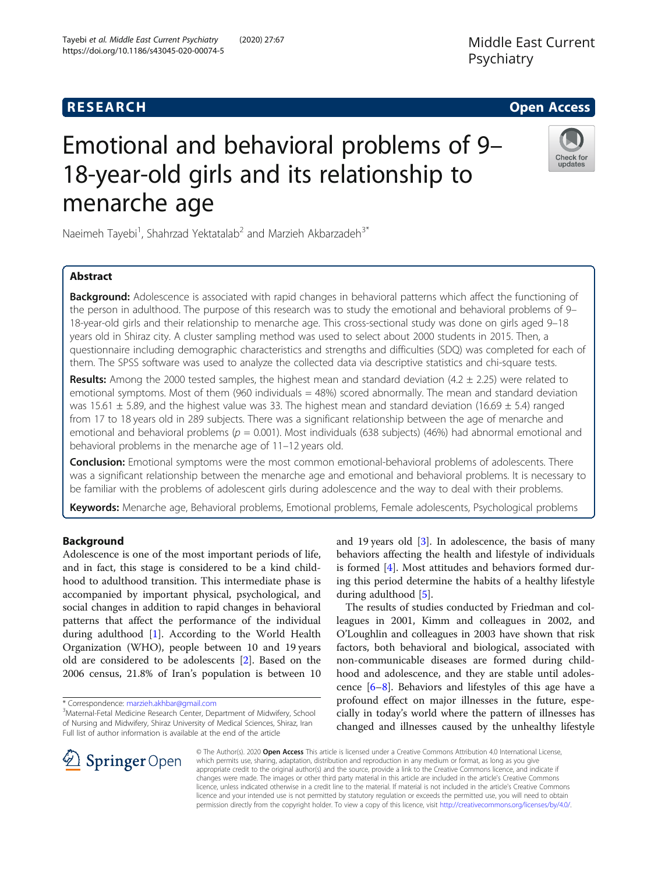# Emotional and behavioral problems of 9– 18-year-old girls and its relationship to menarche age

Check for updates

Naeimeh Tayebi<sup>1</sup>, Shahrzad Yektatalab<sup>2</sup> and Marzieh Akbarzadeh<sup>3\*</sup>

Tayebi et al. Middle East Current Psychiatry (2020) 27:67

https://doi.org/10.1186/s43045-020-00074-5

# Abstract

**Background:** Adolescence is associated with rapid changes in behavioral patterns which affect the functioning of the person in adulthood. The purpose of this research was to study the emotional and behavioral problems of 9– 18-year-old girls and their relationship to menarche age. This cross-sectional study was done on girls aged 9–18 years old in Shiraz city. A cluster sampling method was used to select about 2000 students in 2015. Then, a questionnaire including demographic characteristics and strengths and difficulties (SDQ) was completed for each of them. The SPSS software was used to analyze the collected data via descriptive statistics and chi-square tests.

**Results:** Among the 2000 tested samples, the highest mean and standard deviation (4.2  $\pm$  2.25) were related to emotional symptoms. Most of them (960 individuals  $=$  48%) scored abnormally. The mean and standard deviation was 15.61  $\pm$  5.89, and the highest value was 33. The highest mean and standard deviation (16.69  $\pm$  5.4) ranged from 17 to 18 years old in 289 subjects. There was a significant relationship between the age of menarche and emotional and behavioral problems ( $p = 0.001$ ). Most individuals (638 subjects) (46%) had abnormal emotional and behavioral problems in the menarche age of 11–12 years old.

**Conclusion:** Emotional symptoms were the most common emotional-behavioral problems of adolescents. There was a significant relationship between the menarche age and emotional and behavioral problems. It is necessary to be familiar with the problems of adolescent girls during adolescence and the way to deal with their problems.

Keywords: Menarche age, Behavioral problems, Emotional problems, Female adolescents, Psychological problems

# Background

Adolescence is one of the most important periods of life, and in fact, this stage is considered to be a kind childhood to adulthood transition. This intermediate phase is accompanied by important physical, psychological, and social changes in addition to rapid changes in behavioral patterns that affect the performance of the individual during adulthood [\[1\]](#page-5-0). According to the World Health Organization (WHO), people between 10 and 19 years old are considered to be adolescents [\[2](#page-5-0)]. Based on the 2006 census, 21.8% of Iran's population is between 10

\* Correspondence: [marzieh.akhbar@gmail.com](mailto:marzieh.akhbar@gmail.com) <sup>3</sup>

and 19 years old [[3\]](#page-5-0). In adolescence, the basis of many behaviors affecting the health and lifestyle of individuals is formed [\[4](#page-5-0)]. Most attitudes and behaviors formed during this period determine the habits of a healthy lifestyle during adulthood [\[5\]](#page-5-0).

The results of studies conducted by Friedman and colleagues in 2001, Kimm and colleagues in 2002, and O'Loughlin and colleagues in 2003 have shown that risk factors, both behavioral and biological, associated with non-communicable diseases are formed during childhood and adolescence, and they are stable until adolescence [\[6](#page-5-0)–[8\]](#page-5-0). Behaviors and lifestyles of this age have a profound effect on major illnesses in the future, especially in today's world where the pattern of illnesses has changed and illnesses caused by the unhealthy lifestyle



© The Author(s). 2020 Open Access This article is licensed under a Creative Commons Attribution 4.0 International License, which permits use, sharing, adaptation, distribution and reproduction in any medium or format, as long as you give appropriate credit to the original author(s) and the source, provide a link to the Creative Commons licence, and indicate if changes were made. The images or other third party material in this article are included in the article's Creative Commons licence, unless indicated otherwise in a credit line to the material. If material is not included in the article's Creative Commons licence and your intended use is not permitted by statutory regulation or exceeds the permitted use, you will need to obtain permission directly from the copyright holder. To view a copy of this licence, visit <http://creativecommons.org/licenses/by/4.0/>.

Maternal-Fetal Medicine Research Center, Department of Midwifery, School of Nursing and Midwifery, Shiraz University of Medical Sciences, Shiraz, Iran Full list of author information is available at the end of the article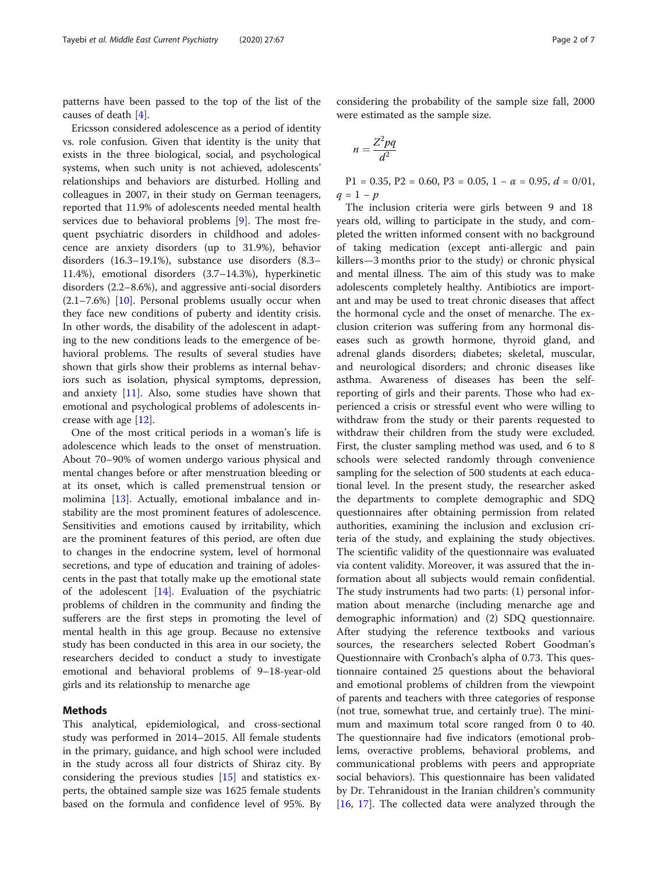patterns have been passed to the top of the list of the causes of death [\[4](#page-5-0)].

Ericsson considered adolescence as a period of identity vs. role confusion. Given that identity is the unity that exists in the three biological, social, and psychological systems, when such unity is not achieved, adolescents' relationships and behaviors are disturbed. Holling and colleagues in 2007, in their study on German teenagers, reported that 11.9% of adolescents needed mental health services due to behavioral problems [\[9](#page-5-0)]. The most frequent psychiatric disorders in childhood and adolescence are anxiety disorders (up to 31.9%), behavior disorders (16.3–19.1%), substance use disorders (8.3– 11.4%), emotional disorders (3.7–14.3%), hyperkinetic disorders (2.2–8.6%), and aggressive anti-social disorders (2.1–7.6%) [\[10](#page-5-0)]. Personal problems usually occur when they face new conditions of puberty and identity crisis. In other words, the disability of the adolescent in adapting to the new conditions leads to the emergence of behavioral problems. The results of several studies have shown that girls show their problems as internal behaviors such as isolation, physical symptoms, depression, and anxiety  $[11]$  $[11]$ . Also, some studies have shown that emotional and psychological problems of adolescents increase with age [\[12\]](#page-5-0).

One of the most critical periods in a woman's life is adolescence which leads to the onset of menstruation. About 70–90% of women undergo various physical and mental changes before or after menstruation bleeding or at its onset, which is called premenstrual tension or molimina [\[13\]](#page-5-0). Actually, emotional imbalance and instability are the most prominent features of adolescence. Sensitivities and emotions caused by irritability, which are the prominent features of this period, are often due to changes in the endocrine system, level of hormonal secretions, and type of education and training of adolescents in the past that totally make up the emotional state of the adolescent [\[14](#page-5-0)]. Evaluation of the psychiatric problems of children in the community and finding the sufferers are the first steps in promoting the level of mental health in this age group. Because no extensive study has been conducted in this area in our society, the researchers decided to conduct a study to investigate emotional and behavioral problems of 9–18-year-old girls and its relationship to menarche age

# Methods

This analytical, epidemiological, and cross-sectional study was performed in 2014–2015. All female students in the primary, guidance, and high school were included in the study across all four districts of Shiraz city. By considering the previous studies [\[15](#page-5-0)] and statistics experts, the obtained sample size was 1625 female students based on the formula and confidence level of 95%. By

considering the probability of the sample size fall, 2000 were estimated as the sample size.

$$
n = \frac{Z^2 pq}{d^2}
$$

P1 = 0.35, P2 = 0.60, P3 = 0.05, 1 –  $\alpha$  = 0.95,  $d$  = 0/01,  $q = 1 - p$ 

The inclusion criteria were girls between 9 and 18 years old, willing to participate in the study, and completed the written informed consent with no background of taking medication (except anti-allergic and pain killers—3 months prior to the study) or chronic physical and mental illness. The aim of this study was to make adolescents completely healthy. Antibiotics are important and may be used to treat chronic diseases that affect the hormonal cycle and the onset of menarche. The exclusion criterion was suffering from any hormonal diseases such as growth hormone, thyroid gland, and adrenal glands disorders; diabetes; skeletal, muscular, and neurological disorders; and chronic diseases like asthma. Awareness of diseases has been the selfreporting of girls and their parents. Those who had experienced a crisis or stressful event who were willing to withdraw from the study or their parents requested to withdraw their children from the study were excluded. First, the cluster sampling method was used, and 6 to 8 schools were selected randomly through convenience sampling for the selection of 500 students at each educational level. In the present study, the researcher asked the departments to complete demographic and SDQ questionnaires after obtaining permission from related authorities, examining the inclusion and exclusion criteria of the study, and explaining the study objectives. The scientific validity of the questionnaire was evaluated via content validity. Moreover, it was assured that the information about all subjects would remain confidential. The study instruments had two parts: (1) personal information about menarche (including menarche age and demographic information) and (2) SDQ questionnaire. After studying the reference textbooks and various sources, the researchers selected Robert Goodman's Questionnaire with Cronbach's alpha of 0.73. This questionnaire contained 25 questions about the behavioral and emotional problems of children from the viewpoint of parents and teachers with three categories of response (not true, somewhat true, and certainly true). The minimum and maximum total score ranged from 0 to 40. The questionnaire had five indicators (emotional problems, overactive problems, behavioral problems, and communicational problems with peers and appropriate social behaviors). This questionnaire has been validated by Dr. Tehranidoust in the Iranian children's community [[16,](#page-5-0) [17\]](#page-5-0). The collected data were analyzed through the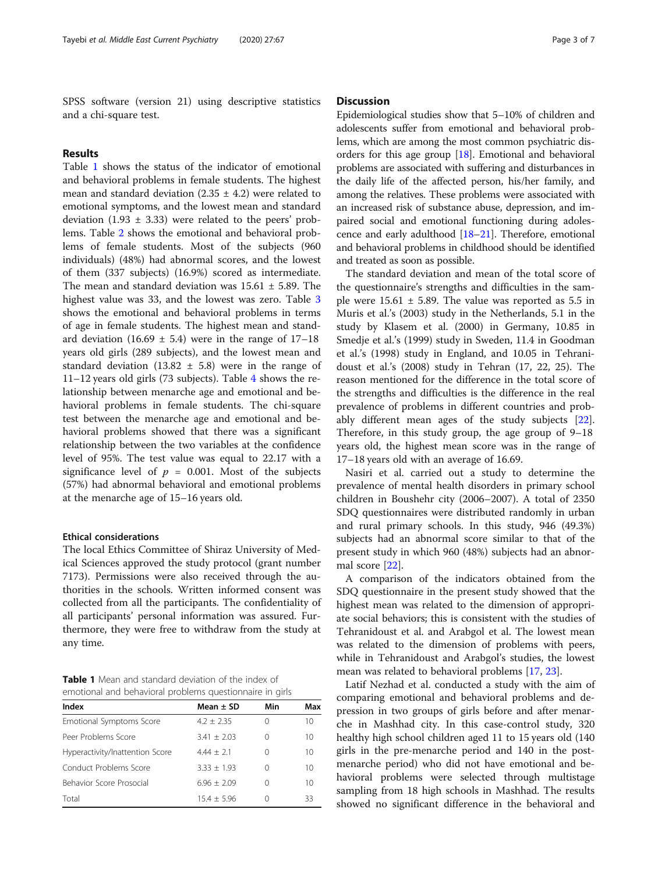SPSS software (version 21) using descriptive statistics and a chi-square test.

# Results

Table 1 shows the status of the indicator of emotional and behavioral problems in female students. The highest mean and standard deviation (2.35  $\pm$  4.2) were related to emotional symptoms, and the lowest mean and standard deviation (1.93  $\pm$  3.33) were related to the peers' problems. Table [2](#page-3-0) shows the emotional and behavioral problems of female students. Most of the subjects (960 individuals) (48%) had abnormal scores, and the lowest of them (337 subjects) (16.9%) scored as intermediate. The mean and standard deviation was  $15.61 \pm 5.89$ . The highest value was 33, and the lowest was zero. Table [3](#page-3-0) shows the emotional and behavioral problems in terms of age in female students. The highest mean and standard deviation (16.69  $\pm$  5.4) were in the range of 17–18 years old girls (289 subjects), and the lowest mean and standard deviation (13.82  $\pm$  5.8) were in the range of 11–12 years old girls (73 subjects). Table [4](#page-4-0) shows the relationship between menarche age and emotional and behavioral problems in female students. The chi-square test between the menarche age and emotional and behavioral problems showed that there was a significant relationship between the two variables at the confidence level of 95%. The test value was equal to 22.17 with a significance level of  $p = 0.001$ . Most of the subjects (57%) had abnormal behavioral and emotional problems at the menarche age of 15–16 years old.

#### Ethical considerations

The local Ethics Committee of Shiraz University of Medical Sciences approved the study protocol (grant number 7173). Permissions were also received through the authorities in the schools. Written informed consent was collected from all the participants. The confidentiality of all participants' personal information was assured. Furthermore, they were free to withdraw from the study at any time.

Table 1 Mean and standard deviation of the index of emotional and behavioral problems questionnaire in girls

| Index                           | Mean $\pm$ SD  | Min | Max |
|---------------------------------|----------------|-----|-----|
| Emotional Symptoms Score        | $4.2 \pm 2.35$ | 0   | 10  |
| Peer Problems Score             | $3.41 + 2.03$  | 0   | 10  |
| Hyperactivity/Inattention Score | $4.44 + 2.1$   | ∩   | 10  |
| Conduct Problems Score          | $3.33 + 1.93$  | 0   | 10  |
| Behavior Score Prosocial        | $6.96 + 2.09$  | 0   | 10  |
| Total                           | $15.4 + 5.96$  | ∩   | 33  |

# **Discussion**

Epidemiological studies show that 5–10% of children and adolescents suffer from emotional and behavioral problems, which are among the most common psychiatric disorders for this age group [\[18\]](#page-5-0). Emotional and behavioral problems are associated with suffering and disturbances in the daily life of the affected person, his/her family, and among the relatives. These problems were associated with an increased risk of substance abuse, depression, and impaired social and emotional functioning during adolescence and early adulthood [\[18](#page-5-0)–[21](#page-5-0)]. Therefore, emotional and behavioral problems in childhood should be identified and treated as soon as possible.

The standard deviation and mean of the total score of the questionnaire's strengths and difficulties in the sample were  $15.61 \pm 5.89$ . The value was reported as 5.5 in Muris et al.'s (2003) study in the Netherlands, 5.1 in the study by Klasem et al. (2000) in Germany, 10.85 in Smedje et al.'s (1999) study in Sweden, 11.4 in Goodman et al.'s (1998) study in England, and 10.05 in Tehranidoust et al.'s (2008) study in Tehran (17, 22, 25). The reason mentioned for the difference in the total score of the strengths and difficulties is the difference in the real prevalence of problems in different countries and probably different mean ages of the study subjects [\[22](#page-5-0)]. Therefore, in this study group, the age group of 9–18 years old, the highest mean score was in the range of 17–18 years old with an average of 16.69.

Nasiri et al. carried out a study to determine the prevalence of mental health disorders in primary school children in Boushehr city (2006–2007). A total of 2350 SDQ questionnaires were distributed randomly in urban and rural primary schools. In this study, 946 (49.3%) subjects had an abnormal score similar to that of the present study in which 960 (48%) subjects had an abnormal score [\[22](#page-5-0)].

A comparison of the indicators obtained from the SDQ questionnaire in the present study showed that the highest mean was related to the dimension of appropriate social behaviors; this is consistent with the studies of Tehranidoust et al. and Arabgol et al. The lowest mean was related to the dimension of problems with peers, while in Tehranidoust and Arabgol's studies, the lowest mean was related to behavioral problems [\[17,](#page-5-0) [23\]](#page-5-0).

Latif Nezhad et al. conducted a study with the aim of comparing emotional and behavioral problems and depression in two groups of girls before and after menarche in Mashhad city. In this case-control study, 320 healthy high school children aged 11 to 15 years old (140 girls in the pre-menarche period and 140 in the postmenarche period) who did not have emotional and behavioral problems were selected through multistage sampling from 18 high schools in Mashhad. The results showed no significant difference in the behavioral and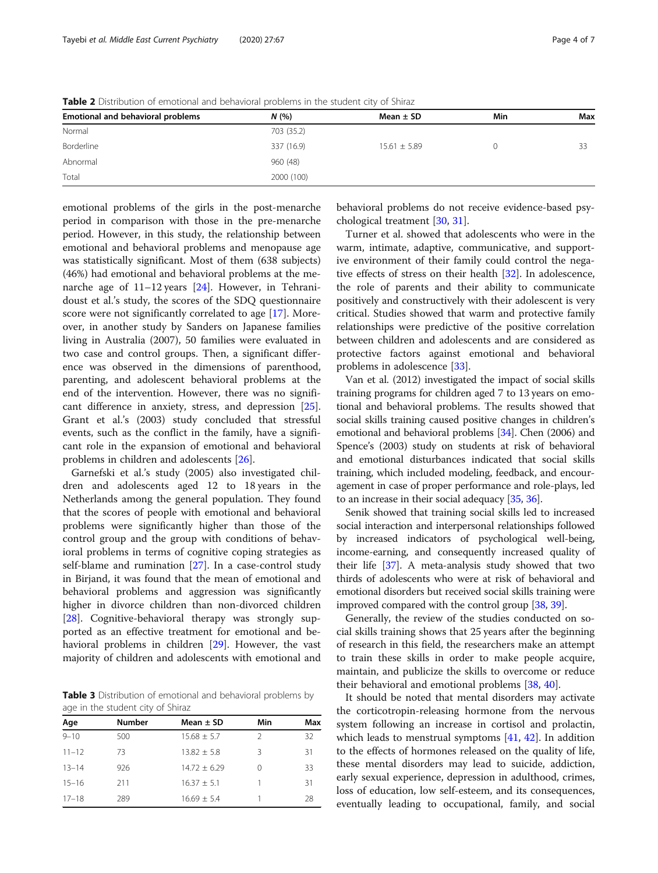| Mean $\pm$ SD    | Min | Max |
|------------------|-----|-----|
|                  |     |     |
| $15.61 \pm 5.89$ |     |     |
|                  |     |     |
|                  |     |     |
|                  |     |     |

<span id="page-3-0"></span>Table 2 Distribution of emotional and behavioral problems in the student city of Shiraz

emotional problems of the girls in the post-menarche period in comparison with those in the pre-menarche period. However, in this study, the relationship between emotional and behavioral problems and menopause age was statistically significant. Most of them (638 subjects) (46%) had emotional and behavioral problems at the menarche age of 11–12 years [[24](#page-5-0)]. However, in Tehranidoust et al.'s study, the scores of the SDQ questionnaire score were not significantly correlated to age [[17](#page-5-0)]. Moreover, in another study by Sanders on Japanese families living in Australia (2007), 50 families were evaluated in two case and control groups. Then, a significant difference was observed in the dimensions of parenthood, parenting, and adolescent behavioral problems at the end of the intervention. However, there was no significant difference in anxiety, stress, and depression [\[25](#page-5-0)]. Grant et al.'s (2003) study concluded that stressful events, such as the conflict in the family, have a significant role in the expansion of emotional and behavioral problems in children and adolescents [[26\]](#page-5-0).

Garnefski et al.'s study (2005) also investigated children and adolescents aged 12 to 18 years in the Netherlands among the general population. They found that the scores of people with emotional and behavioral problems were significantly higher than those of the control group and the group with conditions of behavioral problems in terms of cognitive coping strategies as self-blame and rumination [[27](#page-5-0)]. In a case-control study in Birjand, it was found that the mean of emotional and behavioral problems and aggression was significantly higher in divorce children than non-divorced children [[28\]](#page-5-0). Cognitive-behavioral therapy was strongly supported as an effective treatment for emotional and behavioral problems in children [[29](#page-5-0)]. However, the vast majority of children and adolescents with emotional and

Table 3 Distribution of emotional and behavioral problems by age in the student city of Shiraz

| Age       | <b>Number</b> | Mean $\pm$ SD    | Min | Max |  |  |
|-----------|---------------|------------------|-----|-----|--|--|
| $9 - 10$  | 500           | $15.68 \pm 5.7$  |     | 32  |  |  |
| $11 - 12$ | 73            | $13.82 \pm 5.8$  | ੨   | 31  |  |  |
| $13 - 14$ | 926           | $14.72 \pm 6.29$ |     | 33  |  |  |
| $15 - 16$ | 211           | $16.37 + 5.1$    |     | 31  |  |  |
| $17 - 18$ | 289           | $16.69 \pm 5.4$  |     | 28  |  |  |

behavioral problems do not receive evidence-based psychological treatment [[30,](#page-5-0) [31\]](#page-5-0).

Turner et al. showed that adolescents who were in the warm, intimate, adaptive, communicative, and supportive environment of their family could control the negative effects of stress on their health [\[32](#page-5-0)]. In adolescence, the role of parents and their ability to communicate positively and constructively with their adolescent is very critical. Studies showed that warm and protective family relationships were predictive of the positive correlation between children and adolescents and are considered as protective factors against emotional and behavioral problems in adolescence [\[33\]](#page-5-0).

Van et al. (2012) investigated the impact of social skills training programs for children aged 7 to 13 years on emotional and behavioral problems. The results showed that social skills training caused positive changes in children's emotional and behavioral problems [\[34\]](#page-5-0). Chen (2006) and Spence's (2003) study on students at risk of behavioral and emotional disturbances indicated that social skills training, which included modeling, feedback, and encouragement in case of proper performance and role-plays, led to an increase in their social adequacy [\[35,](#page-5-0) [36](#page-5-0)].

Senik showed that training social skills led to increased social interaction and interpersonal relationships followed by increased indicators of psychological well-being, income-earning, and consequently increased quality of their life [\[37\]](#page-5-0). A meta-analysis study showed that two thirds of adolescents who were at risk of behavioral and emotional disorders but received social skills training were improved compared with the control group [\[38,](#page-5-0) [39](#page-5-0)].

Generally, the review of the studies conducted on social skills training shows that 25 years after the beginning of research in this field, the researchers make an attempt to train these skills in order to make people acquire, maintain, and publicize the skills to overcome or reduce their behavioral and emotional problems [[38,](#page-5-0) [40](#page-5-0)].

It should be noted that mental disorders may activate the corticotropin-releasing hormone from the nervous system following an increase in cortisol and prolactin, which leads to menstrual symptoms [[41](#page-5-0), [42\]](#page-5-0). In addition to the effects of hormones released on the quality of life, these mental disorders may lead to suicide, addiction, early sexual experience, depression in adulthood, crimes, loss of education, low self-esteem, and its consequences, eventually leading to occupational, family, and social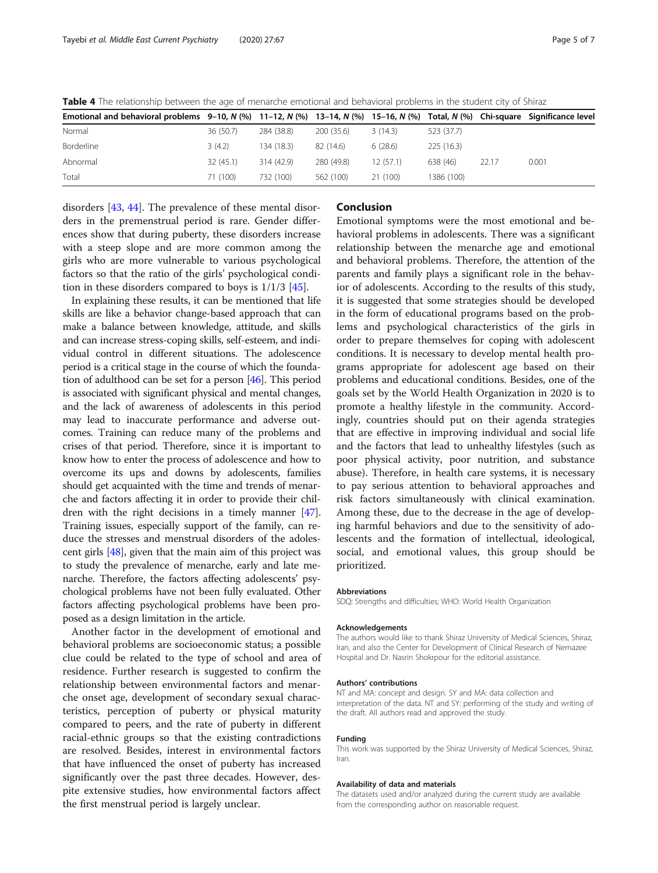<span id="page-4-0"></span>Table 4 The relationship between the age of menarche emotional and behavioral problems in the student city of Shiraz

| Emotional and behavioral problems $9-10$ , N (%) $11-12$ , N (%) $13-14$ , N (%) $15-16$ , N (%) Total, N (%) Chi-square Significance level |           |            |            |          |            |       |       |
|---------------------------------------------------------------------------------------------------------------------------------------------|-----------|------------|------------|----------|------------|-------|-------|
| Normal                                                                                                                                      | 36 (50.7) | 284 (38.8) | 200 (35.6) | 3(14.3)  | 523 (37.7) |       |       |
| <b>Borderline</b>                                                                                                                           | 3(4.2)    | 134 (18.3) | 82 (14.6)  | 6(28.6)  | 225(16.3)  |       |       |
| Abnormal                                                                                                                                    | 32(45.1)  | 314 (42.9) | 280 (49.8) | 12(57.1) | 638 (46)   | 22.17 | 0.001 |
| Total                                                                                                                                       | 71 (100)  | 732 (100)  | 562 (100)  | 21 (100) | 1386 (100) |       |       |

disorders [\[43](#page-5-0), [44](#page-5-0)]. The prevalence of these mental disorders in the premenstrual period is rare. Gender differences show that during puberty, these disorders increase with a steep slope and are more common among the girls who are more vulnerable to various psychological factors so that the ratio of the girls' psychological condition in these disorders compared to boys is 1/1/3 [[45](#page-6-0)].

In explaining these results, it can be mentioned that life skills are like a behavior change-based approach that can make a balance between knowledge, attitude, and skills and can increase stress-coping skills, self-esteem, and individual control in different situations. The adolescence period is a critical stage in the course of which the foundation of adulthood can be set for a person [[46](#page-6-0)]. This period is associated with significant physical and mental changes, and the lack of awareness of adolescents in this period may lead to inaccurate performance and adverse outcomes. Training can reduce many of the problems and crises of that period. Therefore, since it is important to know how to enter the process of adolescence and how to overcome its ups and downs by adolescents, families should get acquainted with the time and trends of menarche and factors affecting it in order to provide their children with the right decisions in a timely manner [[47](#page-6-0)]. Training issues, especially support of the family, can reduce the stresses and menstrual disorders of the adolescent girls [[48](#page-6-0)], given that the main aim of this project was to study the prevalence of menarche, early and late menarche. Therefore, the factors affecting adolescents' psychological problems have not been fully evaluated. Other factors affecting psychological problems have been proposed as a design limitation in the article.

Another factor in the development of emotional and behavioral problems are socioeconomic status; a possible clue could be related to the type of school and area of residence. Further research is suggested to confirm the relationship between environmental factors and menarche onset age, development of secondary sexual characteristics, perception of puberty or physical maturity compared to peers, and the rate of puberty in different racial-ethnic groups so that the existing contradictions are resolved. Besides, interest in environmental factors that have influenced the onset of puberty has increased significantly over the past three decades. However, despite extensive studies, how environmental factors affect the first menstrual period is largely unclear.

### Conclusion

Emotional symptoms were the most emotional and behavioral problems in adolescents. There was a significant relationship between the menarche age and emotional and behavioral problems. Therefore, the attention of the parents and family plays a significant role in the behavior of adolescents. According to the results of this study, it is suggested that some strategies should be developed in the form of educational programs based on the problems and psychological characteristics of the girls in order to prepare themselves for coping with adolescent conditions. It is necessary to develop mental health programs appropriate for adolescent age based on their problems and educational conditions. Besides, one of the goals set by the World Health Organization in 2020 is to promote a healthy lifestyle in the community. Accordingly, countries should put on their agenda strategies that are effective in improving individual and social life and the factors that lead to unhealthy lifestyles (such as poor physical activity, poor nutrition, and substance abuse). Therefore, in health care systems, it is necessary to pay serious attention to behavioral approaches and risk factors simultaneously with clinical examination. Among these, due to the decrease in the age of developing harmful behaviors and due to the sensitivity of adolescents and the formation of intellectual, ideological, social, and emotional values, this group should be prioritized.

#### Abbreviations

SDQ: Strengths and difficulties; WHO: World Health Organization

#### Acknowledgements

The authors would like to thank Shiraz University of Medical Sciences, Shiraz, Iran, and also the Center for Development of Clinical Research of Nemazee Hospital and Dr. Nasrin Shokrpour for the editorial assistance.

#### Authors' contributions

NT and MA: concept and design. SY and MA: data collection and interpretation of the data. NT and SY: performing of the study and writing of the draft. All authors read and approved the study.

#### Funding

This work was supported by the Shiraz University of Medical Sciences, Shiraz, Iran.

#### Availability of data and materials

The datasets used and/or analyzed during the current study are available from the corresponding author on reasonable request.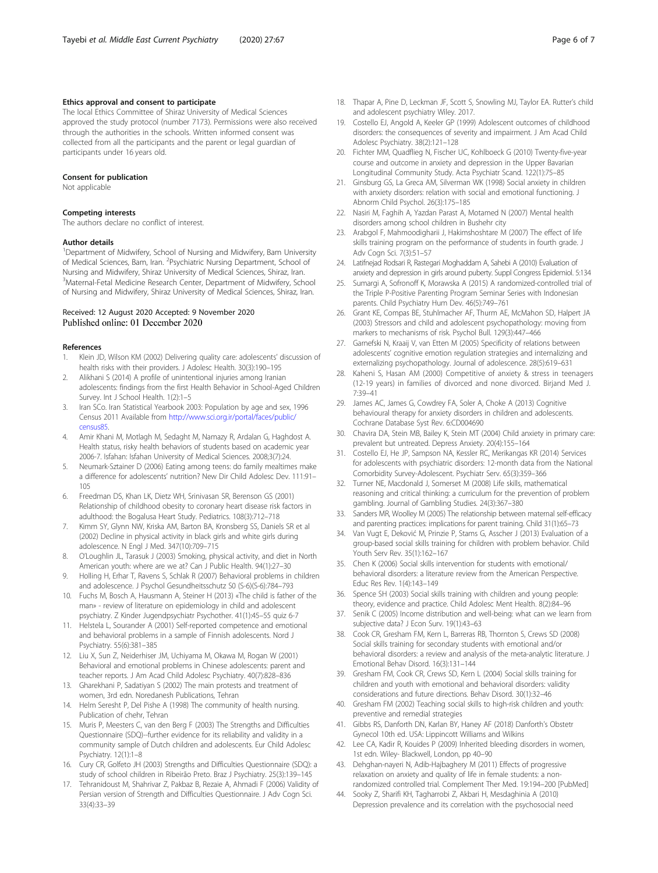### <span id="page-5-0"></span>Ethics approval and consent to participate

The local Ethics Committee of Shiraz University of Medical Sciences approved the study protocol (number 7173). Permissions were also received through the authorities in the schools. Written informed consent was collected from all the participants and the parent or legal guardian of participants under 16 years old.

#### Consent for publication

Not applicable

#### Competing interests

The authors declare no conflict of interest.

#### Author details

<sup>1</sup>Department of Midwifery, School of Nursing and Midwifery, Bam University of Medical Sciences, Bam, Iran. <sup>2</sup> Psychiatric Nursing Department, School of Nursing and Midwifery, Shiraz University of Medical Sciences, Shiraz, Iran. <sup>3</sup>Maternal-Fetal Medicine Research Center, Department of Midwifery, School of Nursing and Midwifery, Shiraz University of Medical Sciences, Shiraz, Iran.

### Received: 12 August 2020 Accepted: 9 November 2020 Published online: 01 December 2020

#### References

- 1. Klein JD, Wilson KM (2002) Delivering quality care: adolescents' discussion of health risks with their providers. J Adolesc Health. 30(3):190–195
- 2. Alikhani S (2014) A profile of unintentional injuries among Iranian adolescents: findings from the first Health Behavior in School-Aged Children Survey. Int J School Health. 1(2):1–5
- 3. Iran SCo. Iran Statistical Yearbook 2003: Population by age and sex, 1996 Census 2011 Available from [http://www.sci.org.ir/portal/faces/public/](http://www.sci.org.ir/portal/faces/public/census85) [census85.](http://www.sci.org.ir/portal/faces/public/census85)
- 4. Amir Khani M, Motlagh M, Sedaght M, Namazy R, Ardalan G, Haghdost A. Health status, risky health behaviors of students based on academic year 2006-7. Isfahan: Isfahan University of Medical Sciences. 2008;3(7):24.
- 5. Neumark-Sztainer D (2006) Eating among teens: do family mealtimes make a difference for adolescents' nutrition? New Dir Child Adolesc Dev. 111:91– 105
- 6. Freedman DS, Khan LK, Dietz WH, Srinivasan SR, Berenson GS (2001) Relationship of childhood obesity to coronary heart disease risk factors in adulthood: the Bogalusa Heart Study. Pediatrics. 108(3):712–718
- 7. Kimm SY, Glynn NW, Kriska AM, Barton BA, Kronsberg SS, Daniels SR et al (2002) Decline in physical activity in black girls and white girls during adolescence. N Engl J Med. 347(10):709–715
- 8. O'Loughlin JL, Tarasuk J (2003) Smoking, physical activity, and diet in North American youth: where are we at? Can J Public Health. 94(1):27–30
- 9. Holling H, Erhar T, Ravens S, Schlak R (2007) Behavioral problems in children and adolescence. J Psychol Gesundheitsschutz S0 (S-6)(S-6):784–793
- 10. Fuchs M, Bosch A, Hausmann A, Steiner H (2013) «The child is father of the man» - review of literature on epidemiology in child and adolescent psychiatry. Z Kinder Jugendpsychiatr Psychother. 41(1):45–55 quiz 6-7
- 11. Helstela L, Sourander A (2001) Self-reported competence and emotional and behavioral problems in a sample of Finnish adolescents. Nord J Psychiatry. 55(6):381–385
- 12. Liu X, Sun Z, Neiderhiser JM, Uchiyama M, Okawa M, Rogan W (2001) Behavioral and emotional problems in Chinese adolescents: parent and teacher reports. J Am Acad Child Adolesc Psychiatry. 40(7):828–836
- 13. Gharekhani P, Sadatiyan S (2002) The main protests and treatment of women, 3rd edn. Noredanesh Publications, Tehran
- 14. Helm Seresht P, Del Pishe A (1998) The community of health nursing. Publication of chehr, Tehran
- 15. Muris P, Meesters C, van den Berg F (2003) The Strengths and Difficulties Questionnaire (SDQ)--further evidence for its reliability and validity in a community sample of Dutch children and adolescents. Eur Child Adolesc Psychiatry. 12(1):1–8
- 16. Cury CR, Golfeto JH (2003) Strengths and Difficulties Questionnaire (SDQ): a study of school children in Ribeirão Preto. Braz J Psychiatry. 25(3):139–145
- 17. Tehranidoust M, Shahrivar Z, Pakbaz B, Rezaie A, Ahmadi F (2006) Validity of Persian version of Strength and Difficulties Questionnaire. J Adv Cogn Sci. 33(4):33–39
- 18. Thapar A, Pine D, Leckman JF, Scott S, Snowling MJ, Taylor EA. Rutter's child and adolescent psychiatry Wiley. 2017.
- 19. Costello EJ, Angold A, Keeler GP (1999) Adolescent outcomes of childhood disorders: the consequences of severity and impairment. J Am Acad Child Adolesc Psychiatry. 38(2):121–128
- 20. Fichter MM, Quadflieg N, Fischer UC, Kohlboeck G (2010) Twenty-five-year course and outcome in anxiety and depression in the Upper Bavarian Longitudinal Community Study. Acta Psychiatr Scand. 122(1):75–85
- 21. Ginsburg GS, La Greca AM, Silverman WK (1998) Social anxiety in children with anxiety disorders: relation with social and emotional functioning. J Abnorm Child Psychol. 26(3):175–185
- 22. Nasiri M, Faghih A, Yazdan Parast A, Motamed N (2007) Mental health disorders among school children in Bushehr city
- 23. Arabgol F, Mahmoodigharii J, Hakimshoshtare M (2007) The effect of life skills training program on the performance of students in fourth grade. J Adv Cogn Sci. 7(3):51–57
- 24. Latifnejad Rodsari R, Rastegari Moghaddam A, Sahebi A (2010) Evaluation of anxiety and depression in girls around puberty. Suppl Congress Epidemiol. 5:134
- 25. Sumargi A, Sofronoff K, Morawska A (2015) A randomized-controlled trial of the Triple P-Positive Parenting Program Seminar Series with Indonesian parents. Child Psychiatry Hum Dev. 46(5):749–761
- 26. Grant KE, Compas BE, Stuhlmacher AF, Thurm AE, McMahon SD, Halpert JA (2003) Stressors and child and adolescent psychopathology: moving from markers to mechanisms of risk. Psychol Bull. 129(3):447–466
- 27. Garnefski N, Kraaij V, van Etten M (2005) Specificity of relations between adolescents' cognitive emotion regulation strategies and internalizing and externalizing psychopathology. Journal of adolescence. 28(5):619–631
- 28. Kaheni S, Hasan AM (2000) Competitive of anxiety & stress in teenagers (12-19 years) in families of divorced and none divorced. Birjand Med J. 7:39–41
- 29. James AC, James G, Cowdrey FA, Soler A, Choke A (2013) Cognitive behavioural therapy for anxiety disorders in children and adolescents. Cochrane Database Syst Rev. 6:CD004690
- 30. Chavira DA, Stein MB, Bailey K, Stein MT (2004) Child anxiety in primary care: prevalent but untreated. Depress Anxiety. 20(4):155–164
- 31. Costello EJ, He JP, Sampson NA, Kessler RC, Merikangas KR (2014) Services for adolescents with psychiatric disorders: 12-month data from the National Comorbidity Survey-Adolescent. Psychiatr Serv. 65(3):359–366
- 32. Turner NE, Macdonald J, Somerset M (2008) Life skills, mathematical reasoning and critical thinking: a curriculum for the prevention of problem gambling. Journal of Gambling Studies. 24(3):367–380
- 33. Sanders MR, Woolley M (2005) The relationship between maternal self-efficacy and parenting practices: implications for parent training. Child 31(1):65–73
- 34. Van Vugt E, Deković M, Prinzie P, Stams G, Asscher J (2013) Evaluation of a group-based social skills training for children with problem behavior. Child Youth Serv Rev. 35(1):162–167
- 35. Chen K (2006) Social skills intervention for students with emotional/ behavioral disorders: a literature review from the American Perspective. Educ Res Rev. 1(4):143–149
- 36. Spence SH (2003) Social skills training with children and young people: theory, evidence and practice. Child Adolesc Ment Health. 8(2):84–96
- 37. Senik C (2005) Income distribution and well-being: what can we learn from subjective data? J Econ Surv. 19(1):43–63
- 38. Cook CR, Gresham FM, Kern L, Barreras RB, Thornton S, Crews SD (2008) Social skills training for secondary students with emotional and/or behavioral disorders: a review and analysis of the meta-analytic literature. J Emotional Behav Disord. 16(3):131–144
- 39. Gresham FM, Cook CR, Crews SD, Kern L (2004) Social skills training for children and youth with emotional and behavioral disorders: validity considerations and future directions. Behav Disord. 30(1):32–46
- 40. Gresham FM (2002) Teaching social skills to high-risk children and youth: preventive and remedial strategies
- 41. Gibbs RS, Danforth DN, Karlan BY, Haney AF (2018) Danforth's Obstetr Gynecol 10th ed. USA: Lippincott Williams and Wilkins
- 42. Lee CA, Kadir R, Kouides P (2009) Inherited bleeding disorders in women, 1st edn. Wiley- Blackwell, London, pp 40–90
- 43. Dehghan-nayeri N, Adib-Hajbaghery M (2011) Effects of progressive relaxation on anxiety and quality of life in female students: a nonrandomized controlled trial. Complement Ther Med. 19:194–200 [PubMed]
- 44. Sooky Z, Sharifi KH, Tagharrobi Z, Akbari H, Mesdaghinia A (2010) Depression prevalence and its correlation with the psychosocial need